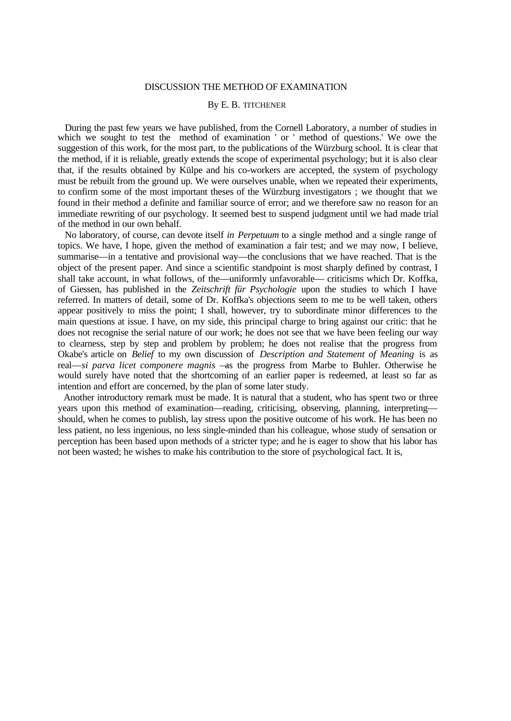#### DISCUSSION THE METHOD OF EXAMINATION

### By E. B. TITCHENER

During the past few years we have published, from the Cornell Laboratory, a number of studies in which we sought to test the method of examination ' or ' method of questions.' We owe the suggestion of this work, for the most part, to the publications of the Würzburg school. It is clear that the method, if it is reliable, greatly extends the scope of experimental psychology; but it is also clear that, if the results obtained by Külpe and his co-workers are accepted, the system of psychology must be rebuilt from the ground up. We were ourselves unable, when we repeated their experiments, to confirm some of the most important theses of the Würzburg investigators ; we thought that we found in their method a definite and familiar source of error; and we therefore saw no reason for an immediate rewriting of our psychology. It seemed best to suspend judgment until we had made trial of the method in our own behalf.

No laboratory, of course, can devote itself *in Perpetuum* to a single method and a single range of topics. We have, I hope, given the method of examination a fair test; and we may now, I believe, summarise—in a tentative and provisional way—the conclusions that we have reached. That is the object of the present paper. And since a scientific standpoint is most sharply defined by contrast, I shall take account, in what follows, of the—uniformly unfavorable— criticisms which Dr. Koffka, of Giessen, has published in the *Zeitschrift für Psychologie* upon the studies to which I have referred. In matters of detail, some of Dr. Koffka's objections seem to me to be well taken, others appear positively to miss the point; I shall, however, try to subordinate minor differences to the main questions at issue. I have, on my side, this principal charge to bring against our critic: that he does not recognise the serial nature of our work; he does not see that we have been feeling our way to clearness, step by step and problem by problem; he does not realise that the progress from Okabe's article on *Belief* to my own discussion of *Description and Statement of Meaning* is as real—*si parva licet componere magnis —*as the progress from Marbe to Buhler. Otherwise he would surely have noted that the shortcoming of an earlier paper is redeemed, at least so far as intention and effort are concerned, by the plan of some later study.

Another introductory remark must be made. It is natural that a student, who has spent two or three years upon this method of examination—reading, criticising, observing, planning, interpreting should, when he comes to publish, lay stress upon the positive outcome of his work. He has been no less patient, no less ingenious, no less single-minded than his colleague, whose study of sensation or perception has been based upon methods of a stricter type; and he is eager to show that his labor has not been wasted; he wishes to make his contribution to the store of psychological fact. It is,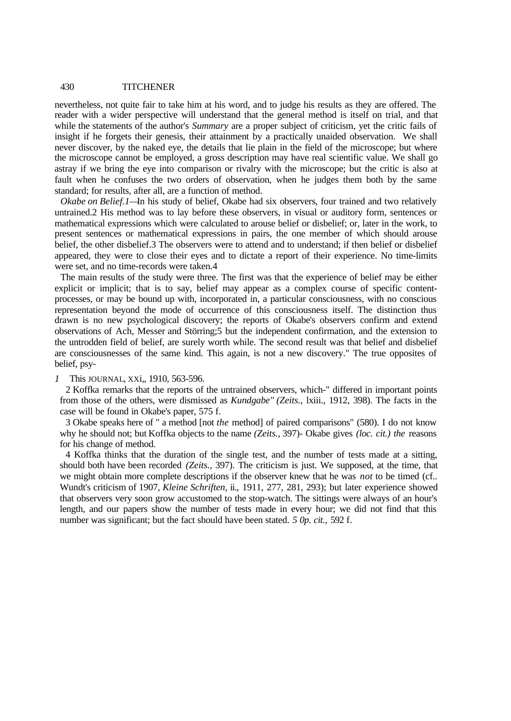nevertheless, not quite fair to take him at his word, and to judge his results as they are offered. The reader with a wider perspective will understand that the general method is itself on trial, and that while the statements of the author's *Summary* are a proper subject of criticism, yet the critic fails of insight if he forgets their genesis, their attainment by a practically unaided observation. We shall never discover, by the naked eye, the details that lie plain in the field of the microscope; but where the microscope cannot be employed, a gross description may have real scientific value. We shall go astray if we bring the eye into comparison or rivalry with the microscope; but the critic is also at fault when he confuses the two orders of observation, when he judges them both by the same standard; for results, after all, are a function of method.

*Okabe on Belief.1—*In his study of belief, Okabe had six observers, four trained and two relatively untrained.2 His method was to lay before these observers, in visual or auditory form, sentences or mathematical expressions which were calculated to arouse belief or disbelief; or, later in the work, to present sentences or mathematical expressions in pairs, the one member of which should arouse belief, the other disbelief.3 The observers were to attend and to understand; if then belief or disbelief appeared, they were to close their eyes and to dictate a report of their experience. No time-limits were set, and no time-records were taken.4

The main results of the study were three. The first was that the experience of belief may be either explicit or implicit; that is to say, belief may appear as a complex course of specific contentprocesses, or may be bound up with, incorporated in, a particular consciousness, with no conscious representation beyond the mode of occurrence of this consciousness itself. The distinction thus drawn is no new psychological discovery; the reports of Okabe's observers confirm and extend observations of Ach, Messer and Störring;5 but the independent confirmation, and the extension to the untrodden field of belief, are surely worth while. The second result was that belief and disbelief are consciousnesses of the same kind. This again, is not a new discovery." The true opposites of belief, psy-

## *1* This JOURNAL, XXi,, 1910, 563-596.

2 Koffka remarks that the reports of the untrained observers, which-" differed in important points from those of the others, were dismissed as *Kundgabe" (Zeits.,* lxiii., 1912, 398). The facts in the case will be found in Okabe's paper, 575 f.

3 Okabe speaks here of " a method [not *the* method] of paired comparisons" (580). I do not know why he should not; but Koffka objects to the name *(Zeits.,* 397)- Okabe gives *(loc. cit.) the* reasons for his change of method.

4 Koffka thinks that the duration of the single test, and the number of tests made at a sitting, should both have been recorded *(Zeits.,* 397). The criticism is just. We supposed, at the time, that we might obtain more complete descriptions if the observer knew that he was *not* to be timed (cf.. Wundt's criticism of 1907, *Kleine Schriften,* ii., 1911, 277, 281, 293); but later experience showed that observers very soon grow accustomed to the stop-watch. The sittings were always of an hour's length, and our papers show the number of tests made in every hour; we did not find that this number was significant; but the fact should have been stated. *5 0p. cit.,* 592 f.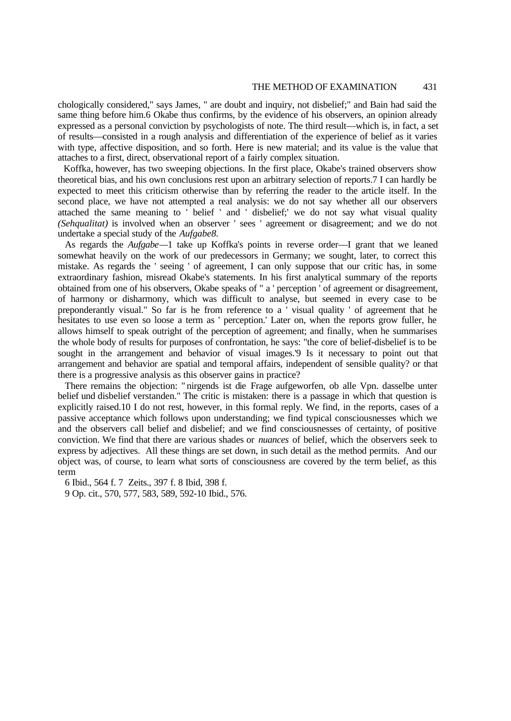chologically considered," says James, " are doubt and inquiry, not disbelief;" and Bain had said the same thing before him.6 Okabe thus confirms, by the evidence of his observers, an opinion already expressed as a personal conviction by psychologists of note. The third result—which is, in fact, a set of results—consisted in a rough analysis and differentiation of the experience of belief as it varies with type, affective disposition, and so forth. Here is new material; and its value is the value that attaches to a first, direct, observational report of a fairly complex situation.

Koffka, however, has two sweeping objections. In the first place, Okabe's trained observers show theoretical bias, and his own conclusions rest upon an arbitrary selection of reports.7 I can hardly be expected to meet this criticism otherwise than by referring the reader to the article itself. In the second place, we have not attempted a real analysis: we do not say whether all our observers attached the same meaning to ' belief ' and ' disbelief;' we do not say what visual quality *(Sehaualitat)* is involved when an observer ' sees ' agreement or disagreement; and we do not undertake a special study of the *Aufgabe8.*

As regards the *Aufgabe—*1 take up Koffka's points in reverse order—I grant that we leaned somewhat heavily on the work of our predecessors in Germany; we sought, later, to correct this mistake. As regards the ' seeing ' of agreement, I can only suppose that our critic has, in some extraordinary fashion, misread Okabe's statements. In his first analytical summary of the reports obtained from one of his observers, Okabe speaks of " a ' perception ' of agreement or disagreement, of harmony or disharmony, which was difficult to analyse, but seemed in every case to be preponderantly visual." So far is he from reference to a ' visual quality ' of agreement that he hesitates to use even so loose a term as ' perception.' Later on, when the reports grow fuller, he allows himself to speak outright of the perception of agreement; and finally, when he summarises the whole body of results for purposes of confrontation, he says: "the core of belief-disbelief is to be sought in the arrangement and behavior of visual images.'9 Is it necessary to point out that arrangement and behavior are spatial and temporal affairs, independent of sensible quality? or that there is a progressive analysis as this observer gains in practice?

There remains the objection: " nirgends ist die Frage aufgeworfen, ob alle Vpn. dasselbe unter belief und disbelief verstanden." The critic is mistaken: there is a passage in which that question is explicitly raised.10 I do not rest, however, in this formal reply. We find, in the reports, cases of a passive acceptance which follows upon understanding; we find typical consciousnesses which we and the observers call belief and disbelief; and we find consciousnesses of certainty, of positive conviction. We find that there are various shades or *nuances* of belief, which the observers seek to express by adjectives. All these things are set down, in such detail as the method permits. And our object was, of course, to learn what sorts of consciousness are covered by the term belief, as this term

6 Ibid., 564 f. 7 Zeits., 397 f. 8 Ibid, 398 f. 9 Op. cit., 570, 577, 583, 589, 592-10 Ibid., 576.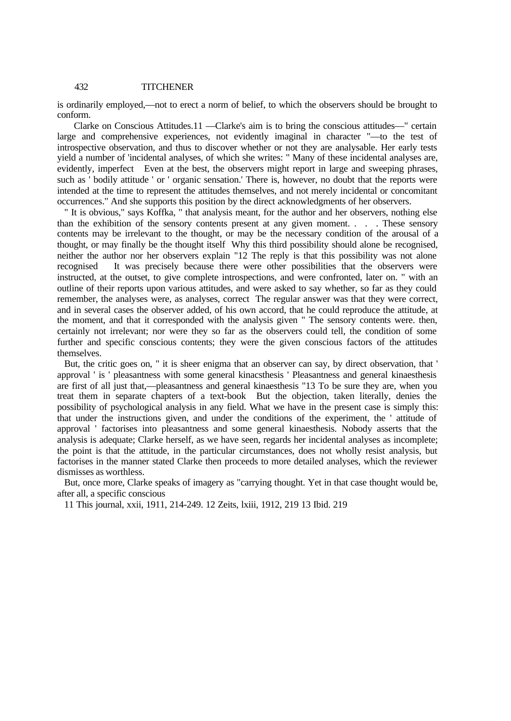is ordinarily employed,—not to erect a norm of belief, to which the observers should be brought to conform.

 Clarke on Conscious Attitudes.11 —Clarke's aim is to bring the conscious attitudes—" certain large and comprehensive experiences, not evidently imaginal in character "—to the test of introspective observation, and thus to discover whether or not they are analysable. Her early tests yield a number of 'incidental analyses, of which she writes: " Many of these incidental analyses are, evidently, imperfect Even at the best, the observers might report in large and sweeping phrases, such as ' bodily attitude ' or ' organic sensation.' There is, however, no doubt that the reports were intended at the time to represent the attitudes themselves, and not merely incidental or concomitant occurrences." And she supports this position by the direct acknowledgments of her observers.

" It is obvious," says Koffka, " that analysis meant, for the author and her observers, nothing else than the exhibition of the sensory contents present at any given moment. . . . These sensory contents may be irrelevant to the thought, or may be the necessary condition of the arousal of a thought, or may finally be the thought itself Why this third possibility should alone be recognised, neither the author nor her observers explain "12 The reply is that this possibility was not alone recognised It was precisely because there were other possibilities that the observers were instructed, at the outset, to give complete introspections, and were confronted, later on. " with an outline of their reports upon various attitudes, and were asked to say whether, so far as they could remember, the analyses were, as analyses, correct The regular answer was that they were correct, and in several cases the observer added, of his own accord, that he could reproduce the attitude, at the moment, and that it corresponded with the analysis given " The sensory contents were. then, certainly not irrelevant; nor were they so far as the observers could tell, the condition of some further and specific conscious contents; they were the given conscious factors of the attitudes themselves.

But, the critic goes on, " it is sheer enigma that an observer can say, by direct observation, that ' approval ' is ' pleasantness with some general kinacsthesis ' Pleasantness and general kinaesthesis are first of all just that,—pleasantness and general kinaesthesis "13 To be sure they are, when you treat them in separate chapters of a text-book But the objection, taken literally, denies the possibility of psychological analysis in any field. What we have in the present case is simply this: that under the instructions given, and under the conditions of the experiment, the ' attitude of approval ' factorises into pleasantness and some general kinaesthesis. Nobody asserts that the analysis is adequate; Clarke herself, as we have seen, regards her incidental analyses as incomplete; the point is that the attitude, in the particular circumstances, does not wholly resist analysis, but factorises in the manner stated Clarke then proceeds to more detailed analyses, which the reviewer dismisses as worthless.

But, once more, Clarke speaks of imagery as "carrying thought. Yet in that case thought would be, after all, a specific conscious

11 This journal, xxii, 1911, 214-249. 12 Zeits, lxiii, 1912, 219 13 Ibid. 219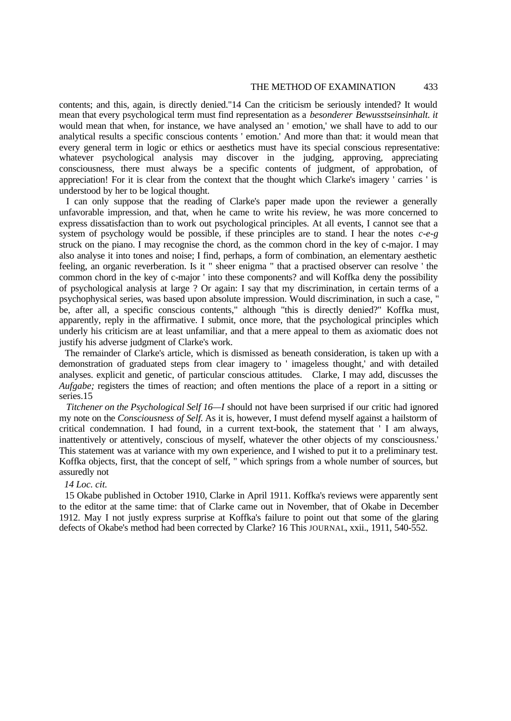contents; and this, again, is directly denied."14 Can the criticism be seriously intended? It would mean that every psychological term must find representation as a *besonderer Bewusstseinsinhalt. it* would mean that when, for instance, we have analysed an ' emotion,' we shall have to add to our analytical results a specific conscious contents ' emotion.' And more than that: it would mean that every general term in logic or ethics or aesthetics must have its special conscious representative: whatever psychological analysis may discover in the judging, approving, appreciating consciousness, there must always be a specific contents of judgment, of approbation, of appreciation! For it is clear from the context that the thought which Clarke's imagery ' carries ' is understood by her to be logical thought.

I can only suppose that the reading of Clarke's paper made upon the reviewer a generally unfavorable impression, and that, when he came to write his review, he was more concerned to express dissatisfaction than to work out psychological principles. At all events, I cannot see that a system of psychology would be possible, if these principles are to stand. I hear the notes *c-e-g* struck on the piano. I may recognise the chord, as the common chord in the key of c-major. I may also analyse it into tones and noise; I find, perhaps, a form of combination, an elementary aesthetic feeling, an organic reverberation. Is it " sheer enigma " that a practised observer can resolve ' the common chord in the key of c-major ' into these components? and will Koffka deny the possibility of psychological analysis at large ? Or again: I say that my discrimination, in certain terms of a psychophysical series, was based upon absolute impression. Would discrimination, in such a case, " be, after all, a specific conscious contents," although "this is directly denied?" Koffka must, apparently, reply in the affirmative. I submit, once more, that the psychological principles which underly his criticism are at least unfamiliar, and that a mere appeal to them as axiomatic does not justify his adverse judgment of Clarke's work.

The remainder of Clarke's article, which is dismissed as beneath consideration, is taken up with a demonstration of graduated steps from clear imagery to ' imageless thought,' and with detailed analyses. explicit and genetic, of particular conscious attitudes. Clarke, I may add, discusses the *Aufgabe;* registers the times of reaction; and often mentions the place of a report in a sitting or series.15

*Titchener on the Psychological Self 16—I* should not have been surprised if our critic had ignored my note on the *Consciousness of Self.* As it is, however, I must defend myself against a hailstorm of critical condemnation. I had found, in a current text-book, the statement that ' I am always, inattentively or attentively, conscious of myself, whatever the other objects of my consciousness.' This statement was at variance with my own experience, and I wished to put it to a preliminary test. Koffka objects, first, that the concept of self, " which springs from a whole number of sources, but assuredly not

# *14 Loc. cit.*

15 Okabe published in October 1910, Clarke in April 1911. Koffka's reviews were apparently sent to the editor at the same time: that of Clarke came out in November, that of Okabe in December 1912. May I not justly express surprise at Koffka's failure to point out that some of the glaring defects of Okabe's method had been corrected by Clarke? 16 This JOURNAL, xxii., 1911, 540-552.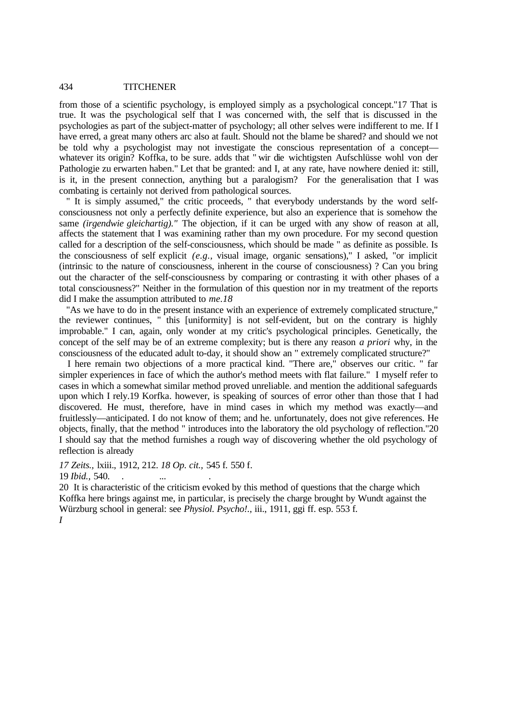from those of a scientific psychology, is employed simply as a psychological concept."17 That is true. It was the psychological self that I was concerned with, the self that is discussed in the psychologies as part of the subject-matter of psychology; all other selves were indifferent to me. If I have erred, a great many others arc also at fault. Should not the blame be shared? and should we not be told why a psychologist may not investigate the conscious representation of a concept whatever its origin? Koffka, to be sure. adds that " wir die wichtigsten Aufschlüsse wohl von der Pathologie zu erwarten haben." Let that be granted: and I, at any rate, have nowhere denied it: still, is it, in the present connection, anything but a paralogism? For the generalisation that I was combating is certainly not derived from pathological sources.

" It is simply assumed," the critic proceeds, " that everybody understands by the word selfconsciousness not only a perfectly definite experience, but also an experience that is somehow the same *(irgendwie gleichartig)."* The objection, if it can be urged with any show of reason at all, affects the statement that I was examining rather than my own procedure. For my second question called for a description of the self-consciousness, which should be made " as definite as possible. Is the consciousness of self explicit *(e.g.,* visual image, organic sensations)," I asked, "or implicit (intrinsic to the nature of consciousness, inherent in the course of consciousness) ? Can you bring out the character of the self-consciousness by comparing or contrasting it with other phases of a total consciousness?" Neither in the formulation of this question nor in my treatment of the reports did I make the assumption attributed to *me.18*

"As we have to do in the present instance with an experience of extremely complicated structure," the reviewer continues, " this [uniformity] is not self-evident, but on the contrary is highly improbable." I can, again, only wonder at my critic's psychological principles. Genetically, the concept of the self may be of an extreme complexity; but is there any reason *a priori* why, in the consciousness of the educated adult to-day, it should show an " extremely complicated structure?"

I here remain two objections of a more practical kind. "There are," observes our critic. " far simpler experiences in face of which the author's method meets with flat failure." I myself refer to cases in which a somewhat similar method proved unreliable. and mention the additional safeguards upon which I rely.19 Korfka. however, is speaking of sources of error other than those that I had discovered. He must, therefore, have in mind cases in which my method was exactly—and fruitlessly—anticipated. I do not know of them; and he. unfortunately, does not give references. He objects, finally, that the method " introduces into the laboratory the old psychology of reflection."20 I should say that the method furnishes a rough way of discovering whether the old psychology of reflection is already

*17 Zeits.,* lxiii., 1912, 212. *18 Op. cit.,* 545 f*.* 550 f.

#### 19 *Ibid.*, 540.

20 It is characteristic of the criticism evoked by this method of questions that the charge which Koffka here brings against me, in particular, is precisely the charge brought by Wundt against the Würzburg school in general: see *Physiol. Psycho!.,* iii., 1911, ggi ff. esp. 553 f*. I*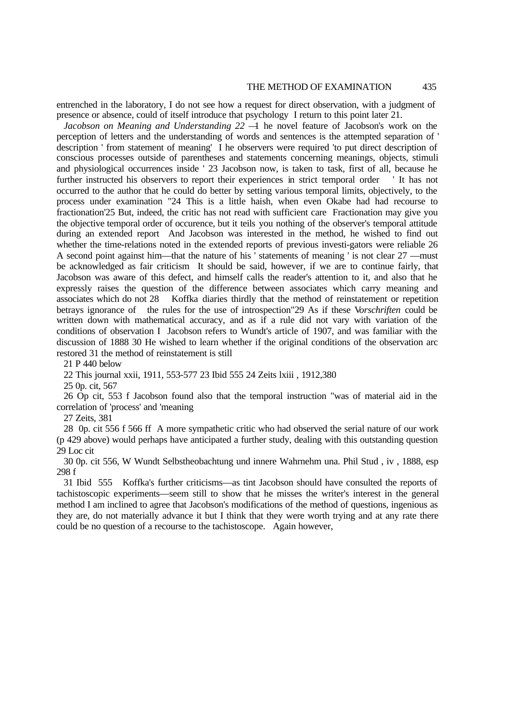entrenched in the laboratory, I do not see how a request for direct observation, with a judgment of presence or absence, could of itself introduce that psychology I return to this point later 21.

*Jacobson on Meaning and Understanding 22 —*1 he novel feature of Jacobson's work on the perception of letters and the understanding of words and sentences is the attempted separation of ' description ' from statement of meaning' I he observers were required 'to put direct description of conscious processes outside of parentheses and statements concerning meanings, objects, stimuli and physiological occurrences inside ' 23 Jacobson now, is taken to task, first of all, because he further instructed his observers to report their experiences in strict temporal order ' It has not occurred to the author that he could do better by setting various temporal limits, objectively, to the process under examination "24 This is a little haish, when even Okabe had had recourse to fractionation'25 But, indeed, the critic has not read with sufficient care Fractionation may give you the objective temporal order of occurence, but it teils you nothing of the observer's temporal attitude during an extended report And Jacobson was interested in the method, he wished to find out whether the time-relations noted in the extended reports of previous investi-gators were reliable 26 A second point against him—that the nature of his ' statements of meaning ' is not clear 27 —must be acknowledged as fair criticism It should be said, however, if we are to continue fairly, that Jacobson was aware of this defect, and himself calls the reader's attention to it, and also that he expressly raises the question of the difference between associates which carry meaning and associates which do not 28 Koffka diaries thirdly that the method of reinstatement or repetition betrays ignorance of the rules for the use of introspection"29 As if these V*orschriften* could be written down with mathematical accuracy, and as if a rule did not vary with variation of the conditions of observation I Jacobson refers to Wundt's article of 1907, and was familiar with the discussion of 1888 30 He wished to learn whether if the original conditions of the observation arc restored 31 the method of reinstatement is still

21 P 440 below

22 This journal xxii, 1911, 553-577 23 Ibid 555 24 Zeits lxiii , 1912,380

25 0p. cit, 567

26 Op cit, 553 f Jacobson found also that the temporal instruction "was of material aid in the correlation of 'process' and 'meaning

27 Zeits, 381

28 0p. cit 556 f 566 ff A more sympathetic critic who had observed the serial nature of our work (p 429 above) would perhaps have anticipated a further study, dealing with this outstanding question 29 Loc cit

30 0p. cit 556, W Wundt Selbstheobachtung und innere Wahrnehm una. Phil Stud , iv , 1888, esp 298 f

31 Ibid 555 Koffka's further criticisms—as tint Jacobson should have consulted the reports of tachistoscopic experiments—seem still to show that he misses the writer's interest in the general method I am inclined to agree that Jacobson's modifications of the method of questions, ingenious as they are, do not materially advance it but I think that they were worth trying and at any rate there could be no question of a recourse to the tachistoscope. Again however,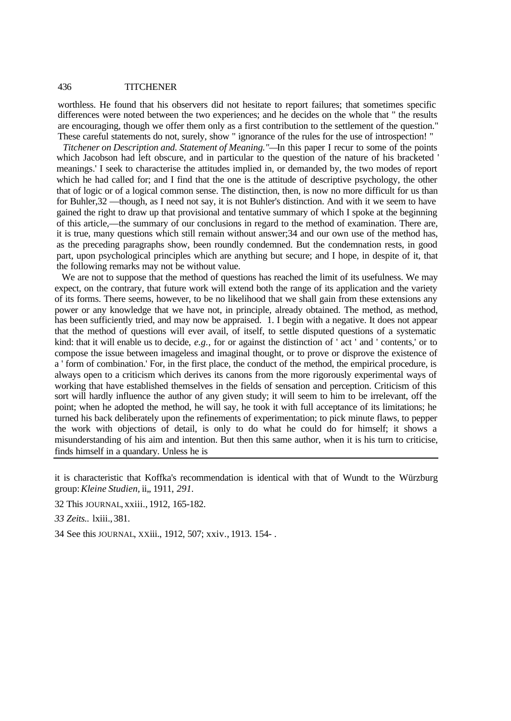worthless. He found that his observers did not hesitate to report failures; that sometimes specific differences were noted between the two experiences; and he decides on the whole that " the results are encouraging, though we offer them only as a first contribution to the settlement of the question." These careful statements do not, surely, show " ignorance of the rules for the use of introspection! "

*Titchener on Description and. Statement of Meaning."—*In this paper I recur to some of the points which Jacobson had left obscure, and in particular to the question of the nature of his bracketed ' meanings.' I seek to characterise the attitudes implied in, or demanded by, the two modes of report which he had called for; and I find that the one is the attitude of descriptive psychology, the other that of logic or of a logical common sense. The distinction, then, is now no more difficult for us than for Buhler,32 —though, as I need not say, it is not Buhler's distinction. And with it we seem to have gained the right to draw up that provisional and tentative summary of which I spoke at the beginning of this article,—the summary of our conclusions in regard to the method of examination. There are, it is true, many questions which still remain without answer;34 and our own use of the method has, as the preceding paragraphs show, been roundly condemned. But the condemnation rests, in good part, upon psychological principles which are anything but secure; and I hope, in despite of it, that the following remarks may not be without value.

We are not to suppose that the method of questions has reached the limit of its usefulness. We may expect, on the contrary, that future work will extend both the range of its application and the variety of its forms. There seems, however, to be no likelihood that we shall gain from these extensions any power or any knowledge that we have not, in principle, already obtained. The method, as method, has been sufficiently tried, and may now be appraised. 1. I begin with a negative. It does not appear that the method of questions will ever avail, of itself, to settle disputed questions of a systematic kind: that it will enable us to decide, *e.g.,* for or against the distinction of ' act ' and ' contents,' or to compose the issue between imageless and imaginal thought, or to prove or disprove the existence of a ' form of combination.' For, in the first place, the conduct of the method, the empirical procedure, is always open to a criticism which derives its canons from the more rigorously experimental ways of working that have established themselves in the fields of sensation and perception. Criticism of this sort will hardly influence the author of any given study; it will seem to him to be irrelevant, off the point; when he adopted the method, he will say, he took it with full acceptance of its limitations; he turned his back deliberately upon the refinements of experimentation; to pick minute flaws, to pepper the work with objections of detail, is only to do what he could do for himself; it shows a misunderstanding of his aim and intention. But then this same author, when it is his turn to criticise, finds himself in a quandary. Unless he is

it is characteristic that Koffka's recommendation is identical with that of Wundt to the Würzburg group: *Kleine Studien*, ii,, 1911, 291.

32 This JOURNAL, xxiii., 1912, 165-182.

*33 Zeits..* lxiii., 381.

34 See this JOURNAL, XXiii., 1912, 507; xxiv., 1913. 154- .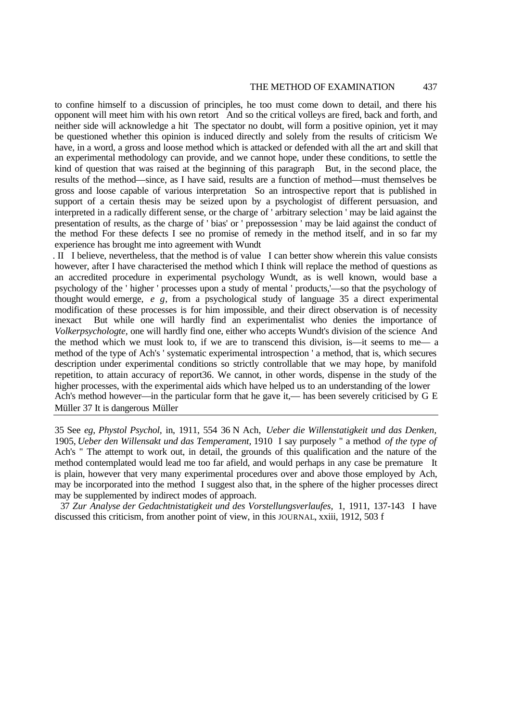to confine himself to a discussion of principles, he too must come down to detail, and there his opponent will meet him with his own retort And so the critical volleys are fired, back and forth, and neither side will acknowledge a hit The spectator no doubt, will form a positive opinion, yet it may be questioned whether this opinion is induced directly and solely from the results of criticism We have, in a word, a gross and loose method which is attacked or defended with all the art and skill that an experimental methodology can provide, and we cannot hope, under these conditions, to settle the kind of question that was raised at the beginning of this paragraph But, in the second place, the results of the method—since, as I have said, results are a function of method—must themselves be gross and loose capable of various interpretation So an introspective report that is published in support of a certain thesis may be seized upon by a psychologist of different persuasion, and interpreted in a radically different sense, or the charge of ' arbitrary selection ' may be laid against the presentation of results, as the charge of ' bias' or ' prepossession ' may be laid against the conduct of the method For these defects I see no promise of remedy in the method itself, and in so far my experience has brought me into agreement with Wundt

. II I believe, nevertheless, that the method is of value I can better show wherein this value consists however, after I have characterised the method which I think will replace the method of questions as an accredited procedure in experimental psychology Wundt, as is well known, would base a psychology of the ' higher ' processes upon a study of mental ' products,'—so that the psychology of thought would emerge, *e g,* from a psychological study of language 35 a direct experimental modification of these processes is for him impossible, and their direct observation is of necessity inexact But while one will hardly find an experimentalist who denies the importance of *Volkerpsychologte,* one will hardly find one, either who accepts Wundt's division of the science And the method which we must look to, if we are to transcend this division, is—it seems to me— a method of the type of Ach's ' systematic experimental introspection ' a method, that is, which secures description under experimental conditions so strictly controllable that we may hope, by manifold repetition, to attain accuracy of report36. We cannot, in other words, dispense in the study of the higher processes, with the experimental aids which have helped us to an understanding of the lower Ach's method however—in the particular form that he gave it,— has been severely criticised by G E Müller 37 It is dangerous Müller

35 See *eg, Phystol Psychol,* in, 1911, 554 36 N Ach, *Ueber die Willenstatigkeit und das Denken,* 1905, *Ueber den Willensakt und das Temperament,* 1910 I say purposely " a method *of the type of* Ach's " The attempt to work out, in detail, the grounds of this qualification and the nature of the method contemplated would lead me too far afield, and would perhaps in any case be premature It is plain, however that very many experimental procedures over and above those employed by Ach, may be incorporated into the method I suggest also that, in the sphere of the higher processes direct may be supplemented by indirect modes of approach.

37 *Zur Analyse der Gedachtnistatigkeit und des Vorstellungsverlaufes,* 1, 1911, 137-143 I have discussed this criticism, from another point of view, in this JOURNAL, xxiii, 1912, 503 f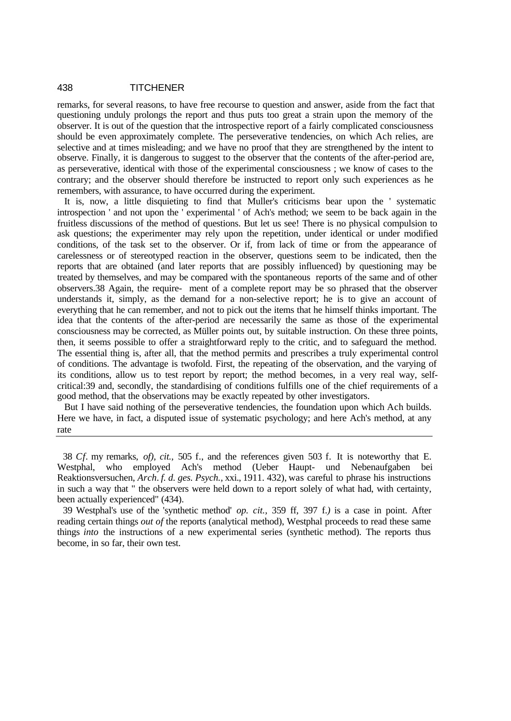remarks, for several reasons, to have free recourse to question and answer, aside from the fact that questioning unduly prolongs the report and thus puts too great a strain upon the memory of the observer. It is out of the question that the introspective report of a fairly complicated consciousness should be even approximately complete. The perseverative tendencies, on which Ach relies, are selective and at times misleading; and we have no proof that they are strengthened by the intent to observe. Finally, it is dangerous to suggest to the observer that the contents of the after-period are, as perseverative, identical with those of the experimental consciousness ; we know of cases to the contrary; and the observer should therefore be instructed to report only such experiences as he remembers, with assurance, to have occurred during the experiment.

It is, now, a little disquieting to find that Muller's criticisms bear upon the ' systematic introspection ' and not upon the ' experimental ' of Ach's method; we seem to be back again in the fruitless discussions of the method of questions. But let us see! There is no physical compulsion to ask questions; the experimenter may rely upon the repetition, under identical or under modified conditions, of the task set to the observer. Or if, from lack of time or from the appearance of carelessness or of stereotyped reaction in the observer, questions seem to be indicated, then the reports that are obtained (and later reports that are possibly influenced) by questioning may be treated by themselves, and may be compared with the spontaneous reports of the same and of other observers.38 Again, the require- ment of a complete report may be so phrased that the observer understands it, simply, as the demand for a non-selective report; he is to give an account of everything that he can remember, and not to pick out the items that he himself thinks important. The idea that the contents of the after-period are necessarily the same as those of the experimental consciousness may be corrected, as Müller points out, by suitable instruction. On these three points, then, it seems possible to offer a straightforward reply to the critic, and to safeguard the method. The essential thing is, after all, that the method permits and prescribes a truly experimental control of conditions. The advantage is twofold. First, the repeating of the observation, and the varying of its conditions, allow us to test report by report; the method becomes, in a very real way, selfcritical:39 and, secondly, the standardising of conditions fulfills one of the chief requirements of a good method, that the observations may be exactly repeated by other investigators.

But I have said nothing of the perseverative tendencies, the foundation upon which Ach builds. Here we have, in fact, a disputed issue of systematic psychology; and here Ach's method, at any rate

38 *Cf.* my remarks, *of), cit.,* 505 f., and the references given 503 f. It is noteworthy that E. Westphal, who employed Ach's method (Ueber Haupt- und Nebenaufgaben bei Reaktionsversuchen, *Arch. f. d. ges. Psych.,* xxi., 1911. 432), was careful to phrase his instructions in such a way that " the observers were held down to a report solely of what had, with certainty, been actually experienced" (434).

39 Westphal's use of the 'synthetic method' *op. cit.,* 359 ff*,* 397 f.*)* is a case in point. After reading certain things *out of* the reports (analytical method), Westphal proceeds to read these same things *into* the instructions of a new experimental series (synthetic method). The reports thus become, in so far, their own test.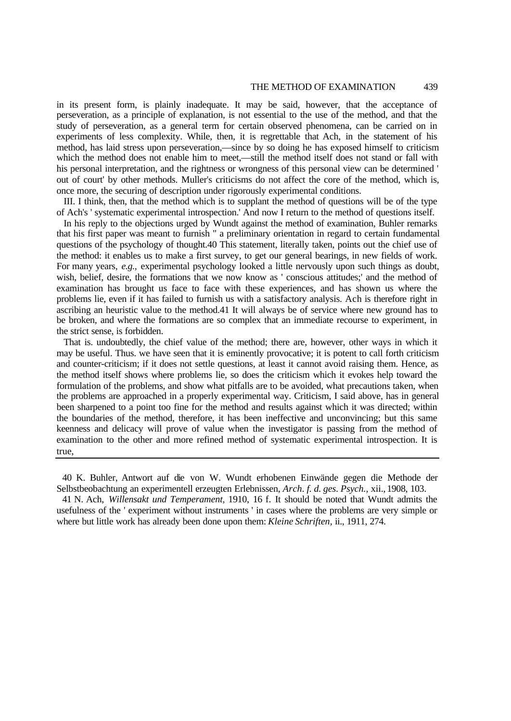in its present form, is plainly inadequate. It may be said, however, that the acceptance of perseveration, as a principle of explanation, is not essential to the use of the method, and that the study of perseveration, as a general term for certain observed phenomena, can be carried on in experiments of less complexity. While, then, it is regrettable that Ach, in the statement of his method, has laid stress upon perseveration,—since by so doing he has exposed himself to criticism which the method does not enable him to meet,—still the method itself does not stand or fall with his personal interpretation, and the rightness or wrongness of this personal view can be determined ' out of court' by other methods. Muller's criticisms do not affect the core of the method, which is, once more, the securing of description under rigorously experimental conditions.

III. I think, then, that the method which is to supplant the method of questions will be of the type of Ach's ' systematic experimental introspection.' And now I return to the method of questions itself.

In his reply to the objections urged by Wundt against the method of examination, Buhler remarks that his first paper was meant to furnish " a preliminary orientation in regard to certain fundamental questions of the psychology of thought.40 This statement, literally taken, points out the chief use of the method: it enables us to make a first survey, to get our general bearings, in new fields of work. For many years, *e.g.,* experimental psychology looked a little nervously upon such things as doubt, wish, belief, desire, the formations that we now know as ' conscious attitudes;' and the method of examination has brought us face to face with these experiences, and has shown us where the problems lie, even if it has failed to furnish us with a satisfactory analysis. Ach is therefore right in ascribing an heuristic value to the method.41 It will always be of service where new ground has to be broken, and where the formations are so complex that an immediate recourse to experiment, in the strict sense, is forbidden.

That is. undoubtedly, the chief value of the method; there are, however, other ways in which it may be useful. Thus. we have seen that it is eminently provocative; it is potent to call forth criticism and counter-criticism; if it does not settle questions, at least it cannot avoid raising them. Hence, as the method itself shows where problems lie, so does the criticism which it evokes help toward the formulation of the problems, and show what pitfalls are to be avoided, what precautions taken, when the problems are approached in a properly experimental way. Criticism, I said above, has in general been sharpened to a point too fine for the method and results against which it was directed; within the boundaries of the method, therefore, it has been ineffective and unconvincing; but this same keenness and delicacy will prove of value when the investigator is passing from the method of examination to the other and more refined method of systematic experimental introspection. It is true,

40 K. Buhler, Antwort auf die von W. Wundt erhobenen Einwände gegen die Methode der Selbstbeobachtung an experimentell erzeugten Erlebnissen, *Arch. f. d. ges. Psych.,* xii., 1908, 103.

41 N. Ach, *Willensakt und Temperament,* 1910, 16 f. It should be noted that Wundt admits the usefulness of the ' experiment without instruments ' in cases where the problems are very simple or where but little work has already been done upon them: *Kleine Schriften,* ii., 1911, 274.